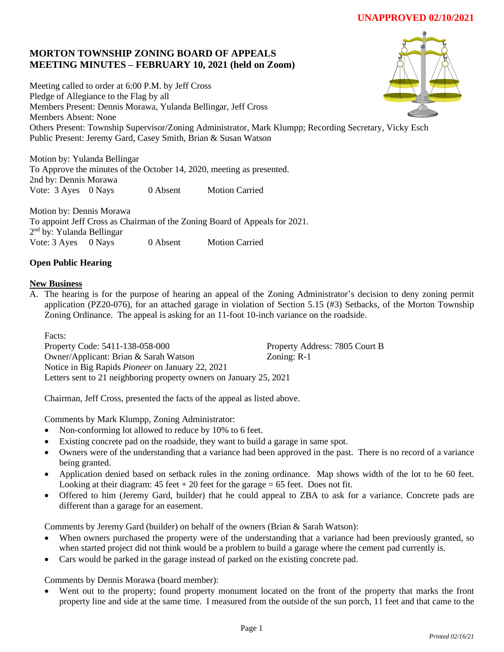# **MORTON TOWNSHIP ZONING BOARD OF APPEALS MEETING MINUTES – FEBRUARY 10, 2021 (held on Zoom)**

Meeting called to order at 6:00 P.M. by Jeff Cross Pledge of Allegiance to the Flag by all Members Present: Dennis Morawa, Yulanda Bellingar, Jeff Cross Members Absent: None Others Present: Township Supervisor/Zoning Administrator, Mark Klumpp; Recording Secretary, Vicky Esch Public Present: Jeremy Gard, Casey Smith, Brian & Susan Watson

Motion by: Yulanda Bellingar To Approve the minutes of the October 14, 2020, meeting as presented. 2nd by: Dennis Morawa Vote: 3 Ayes 0 Nays 0 Absent Motion Carried

Motion by: Dennis Morawa To appoint Jeff Cross as Chairman of the Zoning Board of Appeals for 2021. 2<sup>nd</sup> by: Yulanda Bellingar Vote: 3 Ayes 0 Nays 0 Absent Motion Carried

## **Open Public Hearing**

### **New Business**

A. The hearing is for the purpose of hearing an appeal of the Zoning Administrator's decision to deny zoning permit application (PZ20-076), for an attached garage in violation of Section 5.15 (#3) Setbacks, of the Morton Township Zoning Ordinance. The appeal is asking for an 11-foot 10-inch variance on the roadside.

Facts: Property Code: 5411-138-058-000 Property Address: 7805 Court B Owner/Applicant: Brian & Sarah Watson Zoning: R-1 Notice in Big Rapids *Pioneer* on January 22, 2021 Letters sent to 21 neighboring property owners on January 25, 2021

Chairman, Jeff Cross, presented the facts of the appeal as listed above.

Comments by Mark Klumpp, Zoning Administrator:

- Non-conforming lot allowed to reduce by 10% to 6 feet.
- Existing concrete pad on the roadside, they want to build a garage in same spot.
- Owners were of the understanding that a variance had been approved in the past. There is no record of a variance being granted.
- Application denied based on setback rules in the zoning ordinance. Map shows width of the lot to be 60 feet. Looking at their diagram:  $45$  feet  $+ 20$  feet for the garage  $= 65$  feet. Does not fit.
- Offered to him (Jeremy Gard, builder) that he could appeal to ZBA to ask for a variance. Concrete pads are different than a garage for an easement.

Comments by Jeremy Gard (builder) on behalf of the owners (Brian & Sarah Watson):

- When owners purchased the property were of the understanding that a variance had been previously granted, so when started project did not think would be a problem to build a garage where the cement pad currently is.
- Cars would be parked in the garage instead of parked on the existing concrete pad.

Comments by Dennis Morawa (board member):

Went out to the property; found property monument located on the front of the property that marks the front property line and side at the same time. I measured from the outside of the sun porch, 11 feet and that came to the

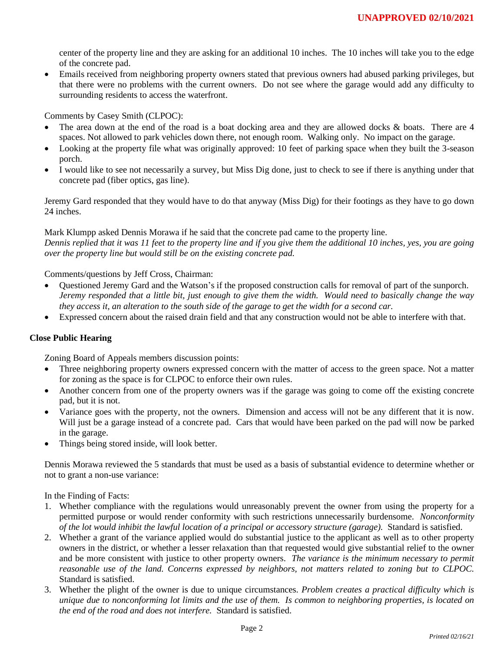center of the property line and they are asking for an additional 10 inches. The 10 inches will take you to the edge of the concrete pad.

• Emails received from neighboring property owners stated that previous owners had abused parking privileges, but that there were no problems with the current owners. Do not see where the garage would add any difficulty to surrounding residents to access the waterfront.

Comments by Casey Smith (CLPOC):

- The area down at the end of the road is a boat docking area and they are allowed docks & boats. There are 4 spaces. Not allowed to park vehicles down there, not enough room. Walking only. No impact on the garage.
- Looking at the property file what was originally approved: 10 feet of parking space when they built the 3-season porch.
- I would like to see not necessarily a survey, but Miss Dig done, just to check to see if there is anything under that concrete pad (fiber optics, gas line).

Jeremy Gard responded that they would have to do that anyway (Miss Dig) for their footings as they have to go down 24 inches.

Mark Klumpp asked Dennis Morawa if he said that the concrete pad came to the property line. *Dennis replied that it was 11 feet to the property line and if you give them the additional 10 inches, yes, you are going over the property line but would still be on the existing concrete pad.*

Comments/questions by Jeff Cross, Chairman:

- Questioned Jeremy Gard and the Watson's if the proposed construction calls for removal of part of the sunporch. *Jeremy responded that a little bit, just enough to give them the width. Would need to basically change the way they access it, an alteration to the south side of the garage to get the width for a second car.*
- Expressed concern about the raised drain field and that any construction would not be able to interfere with that.

#### **Close Public Hearing**

Zoning Board of Appeals members discussion points:

- Three neighboring property owners expressed concern with the matter of access to the green space. Not a matter for zoning as the space is for CLPOC to enforce their own rules.
- Another concern from one of the property owners was if the garage was going to come off the existing concrete pad, but it is not.
- Variance goes with the property, not the owners. Dimension and access will not be any different that it is now. Will just be a garage instead of a concrete pad. Cars that would have been parked on the pad will now be parked in the garage.
- Things being stored inside, will look better.

Dennis Morawa reviewed the 5 standards that must be used as a basis of substantial evidence to determine whether or not to grant a non-use variance:

In the Finding of Facts:

- 1. Whether compliance with the regulations would unreasonably prevent the owner from using the property for a permitted purpose or would render conformity with such restrictions unnecessarily burdensome. *Nonconformity of the lot would inhibit the lawful location of a principal or accessory structure (garage).* Standard is satisfied.
- 2. Whether a grant of the variance applied would do substantial justice to the applicant as well as to other property owners in the district, or whether a lesser relaxation than that requested would give substantial relief to the owner and be more consistent with justice to other property owners. *The variance is the minimum necessary to permit reasonable use of the land. Concerns expressed by neighbors, not matters related to zoning but to CLPOC.* Standard is satisfied.
- 3. Whether the plight of the owner is due to unique circumstances. *Problem creates a practical difficulty which is unique due to nonconforming lot limits and the use of them. Is common to neighboring properties, is located on the end of the road and does not interfere.* Standard is satisfied.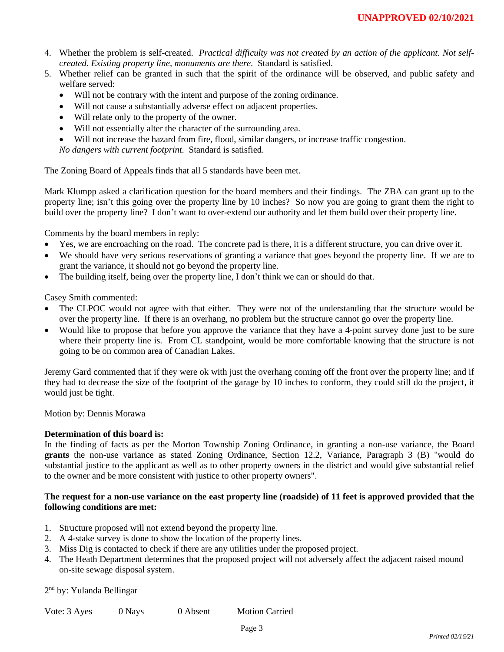- 4. Whether the problem is self-created. *Practical difficulty was not created by an action of the applicant. Not selfcreated. Existing property line, monuments are there.* Standard is satisfied.
- 5. Whether relief can be granted in such that the spirit of the ordinance will be observed, and public safety and welfare served:
	- Will not be contrary with the intent and purpose of the zoning ordinance.
	- Will not cause a substantially adverse effect on adjacent properties.
	- Will relate only to the property of the owner.
	- Will not essentially alter the character of the surrounding area.
	- Will not increase the hazard from fire, flood, similar dangers, or increase traffic congestion.

*No dangers with current footprint.* Standard is satisfied.

The Zoning Board of Appeals finds that all 5 standards have been met.

Mark Klumpp asked a clarification question for the board members and their findings. The ZBA can grant up to the property line; isn't this going over the property line by 10 inches? So now you are going to grant them the right to build over the property line? I don't want to over-extend our authority and let them build over their property line.

Comments by the board members in reply:

- Yes, we are encroaching on the road. The concrete pad is there, it is a different structure, you can drive over it.
- We should have very serious reservations of granting a variance that goes beyond the property line. If we are to grant the variance, it should not go beyond the property line.
- The building itself, being over the property line, I don't think we can or should do that.

Casey Smith commented:

- The CLPOC would not agree with that either. They were not of the understanding that the structure would be over the property line. If there is an overhang, no problem but the structure cannot go over the property line.
- Would like to propose that before you approve the variance that they have a 4-point survey done just to be sure where their property line is. From CL standpoint, would be more comfortable knowing that the structure is not going to be on common area of Canadian Lakes.

Jeremy Gard commented that if they were ok with just the overhang coming off the front over the property line; and if they had to decrease the size of the footprint of the garage by 10 inches to conform, they could still do the project, it would just be tight.

Motion by: Dennis Morawa

#### **Determination of this board is:**

In the finding of facts as per the Morton Township Zoning Ordinance, in granting a non-use variance, the Board **grants** the non-use variance as stated Zoning Ordinance, Section 12.2, Variance, Paragraph 3 (B) "would do substantial justice to the applicant as well as to other property owners in the district and would give substantial relief to the owner and be more consistent with justice to other property owners".

#### **The request for a non-use variance on the east property line (roadside) of 11 feet is approved provided that the following conditions are met:**

- 1. Structure proposed will not extend beyond the property line.
- 2. A 4-stake survey is done to show the location of the property lines.
- 3. Miss Dig is contacted to check if there are any utilities under the proposed project.
- 4. The Heath Department determines that the proposed project will not adversely affect the adjacent raised mound on-site sewage disposal system.

2<sup>nd</sup> by: Yulanda Bellingar

|  | Vote: 3 Ayes | 0 Nays | 0 Absent | <b>Motion Carried</b> |
|--|--------------|--------|----------|-----------------------|
|--|--------------|--------|----------|-----------------------|